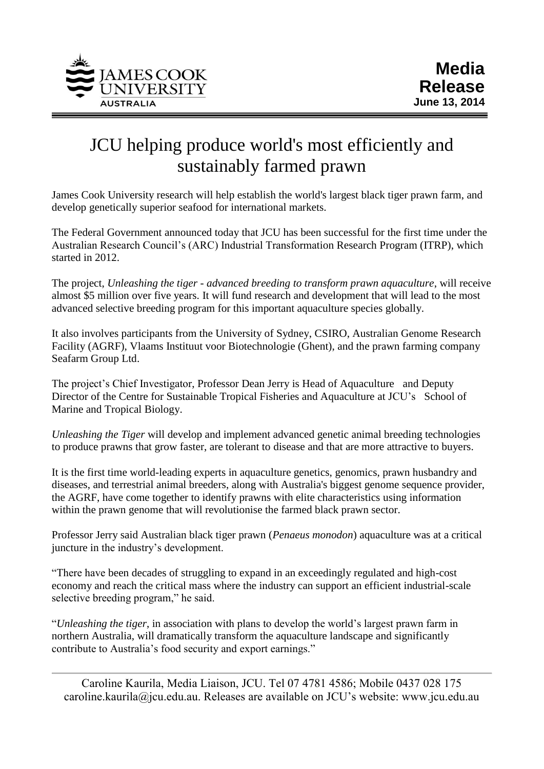

## JCU helping produce world's most efficiently and sustainably farmed prawn

James Cook University research will help establish the world's largest black tiger prawn farm, and develop genetically superior seafood for international markets.

The Federal Government announced today that JCU has been successful for the first time under the Australian Research Council's (ARC) Industrial Transformation Research Program (ITRP), which started in 2012.

The project, *Unleashing the tiger - advanced breeding to transform prawn aquaculture*, will receive almost \$5 million over five years. It will fund research and development that will lead to the most advanced selective breeding program for this important aquaculture species globally.

It also involves participants from the University of Sydney, CSIRO, Australian Genome Research Facility (AGRF), Vlaams Instituut voor Biotechnologie (Ghent), and the prawn farming company Seafarm Group Ltd.

The project's Chief Investigator, Professor Dean Jerry is Head of Aquaculture and Deputy Director of the Centre for Sustainable Tropical Fisheries and Aquaculture at JCU's School of Marine and Tropical Biology.

*Unleashing the Tiger* will develop and implement advanced genetic animal breeding technologies to produce prawns that grow faster, are tolerant to disease and that are more attractive to buyers.

It is the first time world-leading experts in aquaculture genetics, genomics, prawn husbandry and diseases, and terrestrial animal breeders, along with Australia's biggest genome sequence provider, the AGRF, have come together to identify prawns with elite characteristics using information within the prawn genome that will revolutionise the farmed black prawn sector.

Professor Jerry said Australian black tiger prawn (*Penaeus monodon*) aquaculture was at a critical juncture in the industry's development.

"There have been decades of struggling to expand in an exceedingly regulated and high-cost economy and reach the critical mass where the industry can support an efficient industrial-scale selective breeding program," he said.

"*Unleashing the tiger*, in association with plans to develop the world's largest prawn farm in northern Australia, will dramatically transform the aquaculture landscape and significantly contribute to Australia's food security and export earnings."

Caroline Kaurila, Media Liaison, JCU. Tel 07 4781 4586; Mobile 0437 028 175 caroline.kaurila@jcu.edu.au. Releases are available on JCU's website: www.jcu.edu.au